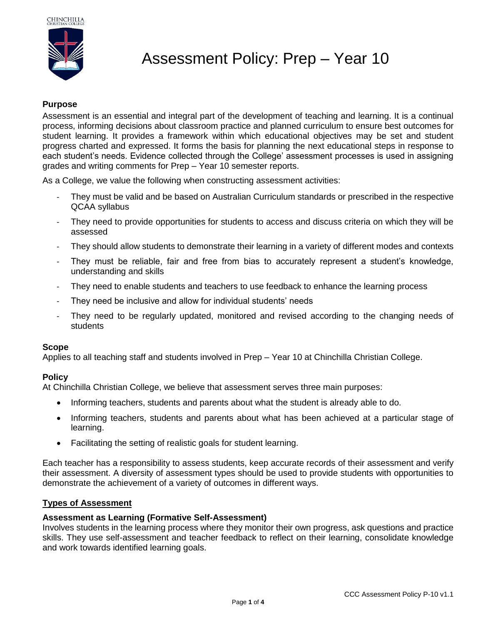



# Assessment Policy: Prep – Year 10

## **Purpose**

Assessment is an essential and integral part of the development of teaching and learning. It is a continual process, informing decisions about classroom practice and planned curriculum to ensure best outcomes for student learning. It provides a framework within which educational objectives may be set and student progress charted and expressed. It forms the basis for planning the next educational steps in response to each student's needs. Evidence collected through the College' assessment processes is used in assigning grades and writing comments for Prep – Year 10 semester reports.

As a College, we value the following when constructing assessment activities:

- They must be valid and be based on Australian Curriculum standards or prescribed in the respective QCAA syllabus
- They need to provide opportunities for students to access and discuss criteria on which they will be assessed
- They should allow students to demonstrate their learning in a variety of different modes and contexts
- They must be reliable, fair and free from bias to accurately represent a student's knowledge, understanding and skills
- They need to enable students and teachers to use feedback to enhance the learning process
- They need be inclusive and allow for individual students' needs
- They need to be regularly updated, monitored and revised according to the changing needs of students

#### **Scope**

Applies to all teaching staff and students involved in Prep – Year 10 at Chinchilla Christian College.

#### **Policy**

At Chinchilla Christian College, we believe that assessment serves three main purposes:

- Informing teachers, students and parents about what the student is already able to do.
- Informing teachers, students and parents about what has been achieved at a particular stage of learning.
- Facilitating the setting of realistic goals for student learning.

Each teacher has a responsibility to assess students, keep accurate records of their assessment and verify their assessment. A diversity of assessment types should be used to provide students with opportunities to demonstrate the achievement of a variety of outcomes in different ways.

#### **Types of Assessment**

#### **Assessment as Learning (Formative Self-Assessment)**

Involves students in the learning process where they monitor their own progress, ask questions and practice skills. They use self-assessment and teacher feedback to reflect on their learning, consolidate knowledge and work towards identified learning goals.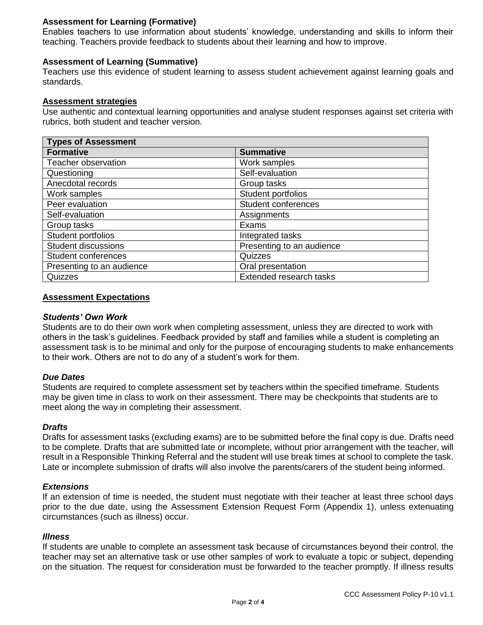## **Assessment for Learning (Formative)**

Enables teachers to use information about students' knowledge, understanding and skills to inform their teaching. Teachers provide feedback to students about their learning and how to improve.

### **Assessment of Learning (Summative)**

Teachers use this evidence of student learning to assess student achievement against learning goals and standards.

#### **Assessment strategies**

Use authentic and contextual learning opportunities and analyse student responses against set criteria with rubrics, both student and teacher version.

| <b>Types of Assessment</b> |                            |  |
|----------------------------|----------------------------|--|
| <b>Formative</b>           | <b>Summative</b>           |  |
| Teacher observation        | Work samples               |  |
| Questioning                | Self-evaluation            |  |
| Anecdotal records          | Group tasks                |  |
| Work samples               | Student portfolios         |  |
| Peer evaluation            | <b>Student conferences</b> |  |
| Self-evaluation            | Assignments                |  |
| Group tasks                | Exams                      |  |
| Student portfolios         | Integrated tasks           |  |
| <b>Student discussions</b> | Presenting to an audience  |  |
| Student conferences        | Quizzes                    |  |
| Presenting to an audience  | Oral presentation          |  |
| Quizzes                    | Extended research tasks    |  |

#### **Assessment Expectations**

#### *Students' Own Work*

Students are to do their own work when completing assessment, unless they are directed to work with others in the task's guidelines. Feedback provided by staff and families while a student is completing an assessment task is to be minimal and only for the purpose of encouraging students to make enhancements to their work. Others are not to do any of a student's work for them.

#### *Due Dates*

Students are required to complete assessment set by teachers within the specified timeframe. Students may be given time in class to work on their assessment. There may be checkpoints that students are to meet along the way in completing their assessment.

#### *Drafts*

Drafts for assessment tasks (excluding exams) are to be submitted before the final copy is due. Drafts need to be complete. Drafts that are submitted late or incomplete, without prior arrangement with the teacher, will result in a Responsible Thinking Referral and the student will use break times at school to complete the task. Late or incomplete submission of drafts will also involve the parents/carers of the student being informed.

#### *Extensions*

If an extension of time is needed, the student must negotiate with their teacher at least three school days prior to the due date, using the Assessment Extension Request Form (Appendix 1), unless extenuating circumstances (such as illness) occur.

#### *Illness*

If students are unable to complete an assessment task because of circumstances beyond their control, the teacher may set an alternative task or use other samples of work to evaluate a topic or subject, depending on the situation. The request for consideration must be forwarded to the teacher promptly. If illness results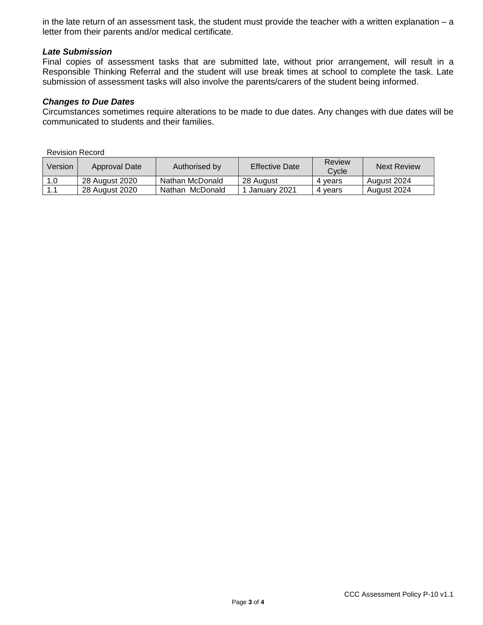in the late return of an assessment task, the student must provide the teacher with a written explanation – a letter from their parents and/or medical certificate.

### *Late Submission*

Final copies of assessment tasks that are submitted late, without prior arrangement, will result in a Responsible Thinking Referral and the student will use break times at school to complete the task. Late submission of assessment tasks will also involve the parents/carers of the student being informed.

#### *Changes to Due Dates*

Circumstances sometimes require alterations to be made to due dates. Any changes with due dates will be communicated to students and their families.

Revision Record

| Version | Approval Date  | Authorised by   | <b>Effective Date</b> | Review<br>Cvcle | <b>Next Review</b> |
|---------|----------------|-----------------|-----------------------|-----------------|--------------------|
| 1.0     | 28 August 2020 | Nathan McDonald | 28 August             | 4 vears         | August 2024        |
| 1.1     | 28 August 2020 | Nathan McDonald | January 2021          | 4 vears         | August 2024        |